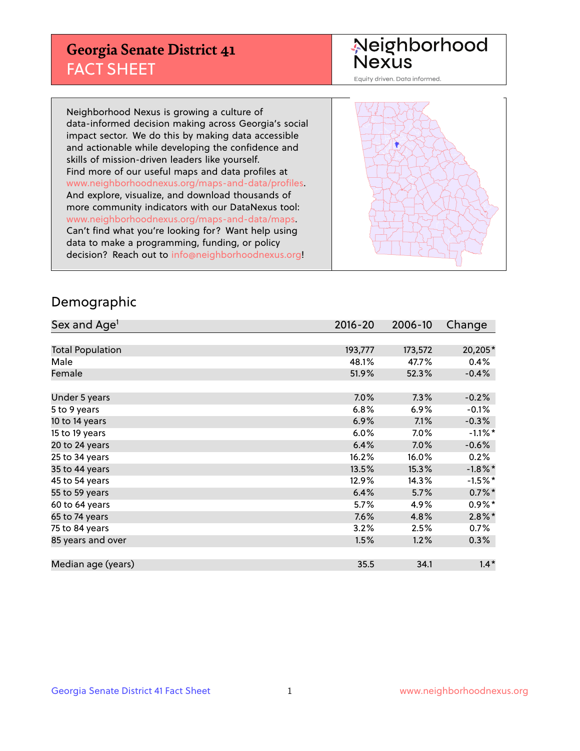## **Georgia Senate District 41** FACT SHEET

# Neighborhood<br>Nexus

Equity driven. Data informed.

Neighborhood Nexus is growing a culture of data-informed decision making across Georgia's social impact sector. We do this by making data accessible and actionable while developing the confidence and skills of mission-driven leaders like yourself. Find more of our useful maps and data profiles at www.neighborhoodnexus.org/maps-and-data/profiles. And explore, visualize, and download thousands of more community indicators with our DataNexus tool: www.neighborhoodnexus.org/maps-and-data/maps. Can't find what you're looking for? Want help using data to make a programming, funding, or policy decision? Reach out to [info@neighborhoodnexus.org!](mailto:info@neighborhoodnexus.org)



#### Demographic

| Sex and Age <sup>1</sup> | 2016-20 | 2006-10 | Change     |
|--------------------------|---------|---------|------------|
|                          |         |         |            |
| <b>Total Population</b>  | 193,777 | 173,572 | 20,205*    |
| Male                     | 48.1%   | 47.7%   | 0.4%       |
| Female                   | 51.9%   | 52.3%   | $-0.4%$    |
|                          |         |         |            |
| Under 5 years            | 7.0%    | 7.3%    | $-0.2%$    |
| 5 to 9 years             | 6.8%    | $6.9\%$ | $-0.1%$    |
| 10 to 14 years           | 6.9%    | 7.1%    | $-0.3%$    |
| 15 to 19 years           | 6.0%    | 7.0%    | $-1.1\%$ * |
| 20 to 24 years           | 6.4%    | 7.0%    | $-0.6%$    |
| 25 to 34 years           | 16.2%   | 16.0%   | 0.2%       |
| 35 to 44 years           | 13.5%   | 15.3%   | $-1.8\%$ * |
| 45 to 54 years           | 12.9%   | 14.3%   | $-1.5%$ *  |
| 55 to 59 years           | 6.4%    | 5.7%    | $0.7\%$ *  |
| 60 to 64 years           | 5.7%    | 4.9%    | $0.9\%$ *  |
| 65 to 74 years           | 7.6%    | 4.8%    | $2.8\%$ *  |
| 75 to 84 years           | 3.2%    | 2.5%    | 0.7%       |
| 85 years and over        | 1.5%    | 1.2%    | $0.3\%$    |
|                          |         |         |            |
| Median age (years)       | 35.5    | 34.1    | $1.4*$     |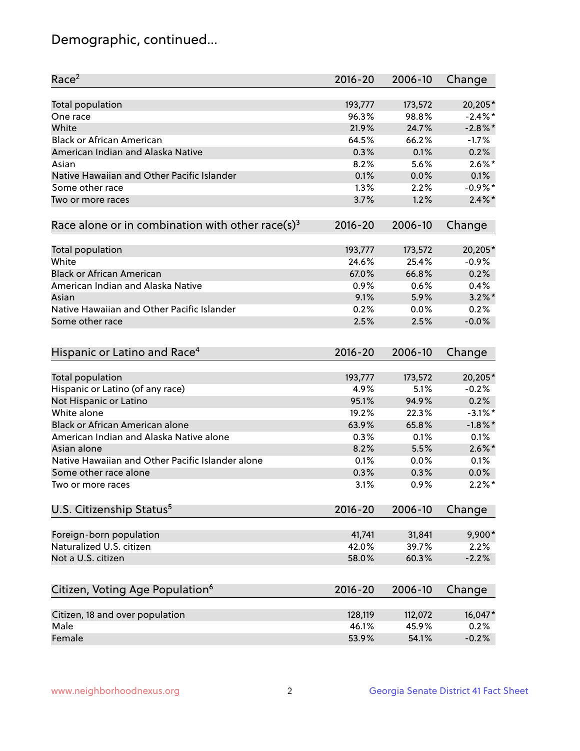## Demographic, continued...

| 20,205*<br>Total population<br>193,777<br>173,572<br>$-2.4\%$ *<br>96.3%<br>98.8%<br>One race<br>White<br>21.9%<br>$-2.8\%$ *<br>24.7%<br><b>Black or African American</b><br>64.5%<br>66.2%<br>$-1.7%$<br>American Indian and Alaska Native<br>0.3%<br>0.1%<br>0.2%<br>$2.6\%$ *<br>8.2%<br>5.6%<br>Asian<br>Native Hawaiian and Other Pacific Islander<br>0.1%<br>0.0%<br>0.1%<br>$-0.9\%$ *<br>Some other race<br>1.3%<br>2.2%<br>1.2%<br>$2.4\%$ *<br>3.7%<br>Two or more races<br>Race alone or in combination with other race(s) <sup>3</sup><br>$2016 - 20$<br>2006-10<br>Change<br>Total population<br>193,777<br>173,572<br>20,205*<br>White<br>$-0.9%$<br>24.6%<br>25.4%<br><b>Black or African American</b><br>0.2%<br>67.0%<br>66.8%<br>American Indian and Alaska Native<br>0.6%<br>0.4%<br>0.9%<br>$3.2\%$ *<br>9.1%<br>5.9%<br>Asian<br>Native Hawaiian and Other Pacific Islander<br>0.2%<br>0.2%<br>0.0%<br>2.5%<br>2.5%<br>$-0.0%$<br>Some other race<br>Hispanic or Latino and Race <sup>4</sup><br>$2016 - 20$<br>2006-10<br>Change<br>Total population<br>20,205*<br>193,777<br>173,572<br>Hispanic or Latino (of any race)<br>$-0.2%$<br>4.9%<br>5.1%<br>Not Hispanic or Latino<br>0.2%<br>95.1%<br>94.9%<br>White alone<br>$-3.1\%$ *<br>19.2%<br>22.3%<br>Black or African American alone<br>$-1.8\%$ *<br>63.9%<br>65.8%<br>American Indian and Alaska Native alone<br>0.1%<br>0.3%<br>0.1%<br>$2.6\%$ *<br>Asian alone<br>8.2%<br>5.5%<br>Native Hawaiian and Other Pacific Islander alone<br>0.1%<br>0.0%<br>0.1%<br>0.0%<br>Some other race alone<br>0.3%<br>0.3%<br>3.1%<br>0.9%<br>$2.2\%$ *<br>Two or more races<br>U.S. Citizenship Status <sup>5</sup><br>$2016 - 20$<br>2006-10<br>Change<br>9,900*<br>Foreign-born population<br>41,741<br>31,841<br>Naturalized U.S. citizen<br>42.0%<br>39.7%<br>2.2%<br>Not a U.S. citizen<br>$-2.2%$<br>58.0%<br>60.3% | Race <sup>2</sup> | $2016 - 20$ | 2006-10 | Change |
|-----------------------------------------------------------------------------------------------------------------------------------------------------------------------------------------------------------------------------------------------------------------------------------------------------------------------------------------------------------------------------------------------------------------------------------------------------------------------------------------------------------------------------------------------------------------------------------------------------------------------------------------------------------------------------------------------------------------------------------------------------------------------------------------------------------------------------------------------------------------------------------------------------------------------------------------------------------------------------------------------------------------------------------------------------------------------------------------------------------------------------------------------------------------------------------------------------------------------------------------------------------------------------------------------------------------------------------------------------------------------------------------------------------------------------------------------------------------------------------------------------------------------------------------------------------------------------------------------------------------------------------------------------------------------------------------------------------------------------------------------------------------------------------------------------------------------------------------------------------------------------------------------|-------------------|-------------|---------|--------|
|                                                                                                                                                                                                                                                                                                                                                                                                                                                                                                                                                                                                                                                                                                                                                                                                                                                                                                                                                                                                                                                                                                                                                                                                                                                                                                                                                                                                                                                                                                                                                                                                                                                                                                                                                                                                                                                                                               |                   |             |         |        |
|                                                                                                                                                                                                                                                                                                                                                                                                                                                                                                                                                                                                                                                                                                                                                                                                                                                                                                                                                                                                                                                                                                                                                                                                                                                                                                                                                                                                                                                                                                                                                                                                                                                                                                                                                                                                                                                                                               |                   |             |         |        |
|                                                                                                                                                                                                                                                                                                                                                                                                                                                                                                                                                                                                                                                                                                                                                                                                                                                                                                                                                                                                                                                                                                                                                                                                                                                                                                                                                                                                                                                                                                                                                                                                                                                                                                                                                                                                                                                                                               |                   |             |         |        |
|                                                                                                                                                                                                                                                                                                                                                                                                                                                                                                                                                                                                                                                                                                                                                                                                                                                                                                                                                                                                                                                                                                                                                                                                                                                                                                                                                                                                                                                                                                                                                                                                                                                                                                                                                                                                                                                                                               |                   |             |         |        |
|                                                                                                                                                                                                                                                                                                                                                                                                                                                                                                                                                                                                                                                                                                                                                                                                                                                                                                                                                                                                                                                                                                                                                                                                                                                                                                                                                                                                                                                                                                                                                                                                                                                                                                                                                                                                                                                                                               |                   |             |         |        |
|                                                                                                                                                                                                                                                                                                                                                                                                                                                                                                                                                                                                                                                                                                                                                                                                                                                                                                                                                                                                                                                                                                                                                                                                                                                                                                                                                                                                                                                                                                                                                                                                                                                                                                                                                                                                                                                                                               |                   |             |         |        |
|                                                                                                                                                                                                                                                                                                                                                                                                                                                                                                                                                                                                                                                                                                                                                                                                                                                                                                                                                                                                                                                                                                                                                                                                                                                                                                                                                                                                                                                                                                                                                                                                                                                                                                                                                                                                                                                                                               |                   |             |         |        |
|                                                                                                                                                                                                                                                                                                                                                                                                                                                                                                                                                                                                                                                                                                                                                                                                                                                                                                                                                                                                                                                                                                                                                                                                                                                                                                                                                                                                                                                                                                                                                                                                                                                                                                                                                                                                                                                                                               |                   |             |         |        |
|                                                                                                                                                                                                                                                                                                                                                                                                                                                                                                                                                                                                                                                                                                                                                                                                                                                                                                                                                                                                                                                                                                                                                                                                                                                                                                                                                                                                                                                                                                                                                                                                                                                                                                                                                                                                                                                                                               |                   |             |         |        |
|                                                                                                                                                                                                                                                                                                                                                                                                                                                                                                                                                                                                                                                                                                                                                                                                                                                                                                                                                                                                                                                                                                                                                                                                                                                                                                                                                                                                                                                                                                                                                                                                                                                                                                                                                                                                                                                                                               |                   |             |         |        |
|                                                                                                                                                                                                                                                                                                                                                                                                                                                                                                                                                                                                                                                                                                                                                                                                                                                                                                                                                                                                                                                                                                                                                                                                                                                                                                                                                                                                                                                                                                                                                                                                                                                                                                                                                                                                                                                                                               |                   |             |         |        |
|                                                                                                                                                                                                                                                                                                                                                                                                                                                                                                                                                                                                                                                                                                                                                                                                                                                                                                                                                                                                                                                                                                                                                                                                                                                                                                                                                                                                                                                                                                                                                                                                                                                                                                                                                                                                                                                                                               |                   |             |         |        |
|                                                                                                                                                                                                                                                                                                                                                                                                                                                                                                                                                                                                                                                                                                                                                                                                                                                                                                                                                                                                                                                                                                                                                                                                                                                                                                                                                                                                                                                                                                                                                                                                                                                                                                                                                                                                                                                                                               |                   |             |         |        |
|                                                                                                                                                                                                                                                                                                                                                                                                                                                                                                                                                                                                                                                                                                                                                                                                                                                                                                                                                                                                                                                                                                                                                                                                                                                                                                                                                                                                                                                                                                                                                                                                                                                                                                                                                                                                                                                                                               |                   |             |         |        |
|                                                                                                                                                                                                                                                                                                                                                                                                                                                                                                                                                                                                                                                                                                                                                                                                                                                                                                                                                                                                                                                                                                                                                                                                                                                                                                                                                                                                                                                                                                                                                                                                                                                                                                                                                                                                                                                                                               |                   |             |         |        |
|                                                                                                                                                                                                                                                                                                                                                                                                                                                                                                                                                                                                                                                                                                                                                                                                                                                                                                                                                                                                                                                                                                                                                                                                                                                                                                                                                                                                                                                                                                                                                                                                                                                                                                                                                                                                                                                                                               |                   |             |         |        |
|                                                                                                                                                                                                                                                                                                                                                                                                                                                                                                                                                                                                                                                                                                                                                                                                                                                                                                                                                                                                                                                                                                                                                                                                                                                                                                                                                                                                                                                                                                                                                                                                                                                                                                                                                                                                                                                                                               |                   |             |         |        |
|                                                                                                                                                                                                                                                                                                                                                                                                                                                                                                                                                                                                                                                                                                                                                                                                                                                                                                                                                                                                                                                                                                                                                                                                                                                                                                                                                                                                                                                                                                                                                                                                                                                                                                                                                                                                                                                                                               |                   |             |         |        |
|                                                                                                                                                                                                                                                                                                                                                                                                                                                                                                                                                                                                                                                                                                                                                                                                                                                                                                                                                                                                                                                                                                                                                                                                                                                                                                                                                                                                                                                                                                                                                                                                                                                                                                                                                                                                                                                                                               |                   |             |         |        |
|                                                                                                                                                                                                                                                                                                                                                                                                                                                                                                                                                                                                                                                                                                                                                                                                                                                                                                                                                                                                                                                                                                                                                                                                                                                                                                                                                                                                                                                                                                                                                                                                                                                                                                                                                                                                                                                                                               |                   |             |         |        |
|                                                                                                                                                                                                                                                                                                                                                                                                                                                                                                                                                                                                                                                                                                                                                                                                                                                                                                                                                                                                                                                                                                                                                                                                                                                                                                                                                                                                                                                                                                                                                                                                                                                                                                                                                                                                                                                                                               |                   |             |         |        |
|                                                                                                                                                                                                                                                                                                                                                                                                                                                                                                                                                                                                                                                                                                                                                                                                                                                                                                                                                                                                                                                                                                                                                                                                                                                                                                                                                                                                                                                                                                                                                                                                                                                                                                                                                                                                                                                                                               |                   |             |         |        |
|                                                                                                                                                                                                                                                                                                                                                                                                                                                                                                                                                                                                                                                                                                                                                                                                                                                                                                                                                                                                                                                                                                                                                                                                                                                                                                                                                                                                                                                                                                                                                                                                                                                                                                                                                                                                                                                                                               |                   |             |         |        |
|                                                                                                                                                                                                                                                                                                                                                                                                                                                                                                                                                                                                                                                                                                                                                                                                                                                                                                                                                                                                                                                                                                                                                                                                                                                                                                                                                                                                                                                                                                                                                                                                                                                                                                                                                                                                                                                                                               |                   |             |         |        |
|                                                                                                                                                                                                                                                                                                                                                                                                                                                                                                                                                                                                                                                                                                                                                                                                                                                                                                                                                                                                                                                                                                                                                                                                                                                                                                                                                                                                                                                                                                                                                                                                                                                                                                                                                                                                                                                                                               |                   |             |         |        |
|                                                                                                                                                                                                                                                                                                                                                                                                                                                                                                                                                                                                                                                                                                                                                                                                                                                                                                                                                                                                                                                                                                                                                                                                                                                                                                                                                                                                                                                                                                                                                                                                                                                                                                                                                                                                                                                                                               |                   |             |         |        |
|                                                                                                                                                                                                                                                                                                                                                                                                                                                                                                                                                                                                                                                                                                                                                                                                                                                                                                                                                                                                                                                                                                                                                                                                                                                                                                                                                                                                                                                                                                                                                                                                                                                                                                                                                                                                                                                                                               |                   |             |         |        |
|                                                                                                                                                                                                                                                                                                                                                                                                                                                                                                                                                                                                                                                                                                                                                                                                                                                                                                                                                                                                                                                                                                                                                                                                                                                                                                                                                                                                                                                                                                                                                                                                                                                                                                                                                                                                                                                                                               |                   |             |         |        |
|                                                                                                                                                                                                                                                                                                                                                                                                                                                                                                                                                                                                                                                                                                                                                                                                                                                                                                                                                                                                                                                                                                                                                                                                                                                                                                                                                                                                                                                                                                                                                                                                                                                                                                                                                                                                                                                                                               |                   |             |         |        |
|                                                                                                                                                                                                                                                                                                                                                                                                                                                                                                                                                                                                                                                                                                                                                                                                                                                                                                                                                                                                                                                                                                                                                                                                                                                                                                                                                                                                                                                                                                                                                                                                                                                                                                                                                                                                                                                                                               |                   |             |         |        |
|                                                                                                                                                                                                                                                                                                                                                                                                                                                                                                                                                                                                                                                                                                                                                                                                                                                                                                                                                                                                                                                                                                                                                                                                                                                                                                                                                                                                                                                                                                                                                                                                                                                                                                                                                                                                                                                                                               |                   |             |         |        |
|                                                                                                                                                                                                                                                                                                                                                                                                                                                                                                                                                                                                                                                                                                                                                                                                                                                                                                                                                                                                                                                                                                                                                                                                                                                                                                                                                                                                                                                                                                                                                                                                                                                                                                                                                                                                                                                                                               |                   |             |         |        |
|                                                                                                                                                                                                                                                                                                                                                                                                                                                                                                                                                                                                                                                                                                                                                                                                                                                                                                                                                                                                                                                                                                                                                                                                                                                                                                                                                                                                                                                                                                                                                                                                                                                                                                                                                                                                                                                                                               |                   |             |         |        |
|                                                                                                                                                                                                                                                                                                                                                                                                                                                                                                                                                                                                                                                                                                                                                                                                                                                                                                                                                                                                                                                                                                                                                                                                                                                                                                                                                                                                                                                                                                                                                                                                                                                                                                                                                                                                                                                                                               |                   |             |         |        |
|                                                                                                                                                                                                                                                                                                                                                                                                                                                                                                                                                                                                                                                                                                                                                                                                                                                                                                                                                                                                                                                                                                                                                                                                                                                                                                                                                                                                                                                                                                                                                                                                                                                                                                                                                                                                                                                                                               |                   |             |         |        |
|                                                                                                                                                                                                                                                                                                                                                                                                                                                                                                                                                                                                                                                                                                                                                                                                                                                                                                                                                                                                                                                                                                                                                                                                                                                                                                                                                                                                                                                                                                                                                                                                                                                                                                                                                                                                                                                                                               |                   |             |         |        |
| Citizen, Voting Age Population <sup>6</sup><br>$2016 - 20$<br>2006-10<br>Change                                                                                                                                                                                                                                                                                                                                                                                                                                                                                                                                                                                                                                                                                                                                                                                                                                                                                                                                                                                                                                                                                                                                                                                                                                                                                                                                                                                                                                                                                                                                                                                                                                                                                                                                                                                                               |                   |             |         |        |
| Citizen, 18 and over population<br>16,047*<br>128,119<br>112,072                                                                                                                                                                                                                                                                                                                                                                                                                                                                                                                                                                                                                                                                                                                                                                                                                                                                                                                                                                                                                                                                                                                                                                                                                                                                                                                                                                                                                                                                                                                                                                                                                                                                                                                                                                                                                              |                   |             |         |        |
| Male<br>0.2%<br>46.1%<br>45.9%                                                                                                                                                                                                                                                                                                                                                                                                                                                                                                                                                                                                                                                                                                                                                                                                                                                                                                                                                                                                                                                                                                                                                                                                                                                                                                                                                                                                                                                                                                                                                                                                                                                                                                                                                                                                                                                                |                   |             |         |        |
| Female<br>$-0.2%$<br>53.9%<br>54.1%                                                                                                                                                                                                                                                                                                                                                                                                                                                                                                                                                                                                                                                                                                                                                                                                                                                                                                                                                                                                                                                                                                                                                                                                                                                                                                                                                                                                                                                                                                                                                                                                                                                                                                                                                                                                                                                           |                   |             |         |        |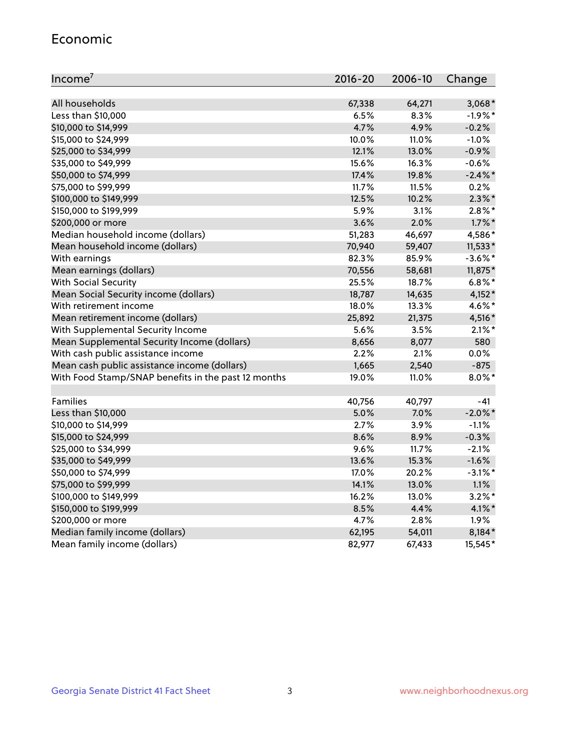#### Economic

| Income <sup>7</sup>                                 | $2016 - 20$ | 2006-10 | Change     |
|-----------------------------------------------------|-------------|---------|------------|
|                                                     |             |         |            |
| All households                                      | 67,338      | 64,271  | $3,068*$   |
| Less than \$10,000                                  | 6.5%        | 8.3%    | $-1.9%$ *  |
| \$10,000 to \$14,999                                | 4.7%        | 4.9%    | $-0.2%$    |
| \$15,000 to \$24,999                                | 10.0%       | 11.0%   | $-1.0%$    |
| \$25,000 to \$34,999                                | 12.1%       | 13.0%   | $-0.9%$    |
| \$35,000 to \$49,999                                | 15.6%       | 16.3%   | $-0.6%$    |
| \$50,000 to \$74,999                                | 17.4%       | 19.8%   | $-2.4\%$ * |
| \$75,000 to \$99,999                                | 11.7%       | 11.5%   | 0.2%       |
| \$100,000 to \$149,999                              | 12.5%       | 10.2%   | $2.3\%$ *  |
| \$150,000 to \$199,999                              | 5.9%        | 3.1%    | $2.8\%$ *  |
| \$200,000 or more                                   | 3.6%        | 2.0%    | $1.7\%$ *  |
| Median household income (dollars)                   | 51,283      | 46,697  | 4,586*     |
| Mean household income (dollars)                     | 70,940      | 59,407  | $11,533*$  |
| With earnings                                       | 82.3%       | 85.9%   | $-3.6\%$ * |
| Mean earnings (dollars)                             | 70,556      | 58,681  | 11,875*    |
| <b>With Social Security</b>                         | 25.5%       | 18.7%   | $6.8\%$ *  |
| Mean Social Security income (dollars)               | 18,787      | 14,635  | 4,152*     |
| With retirement income                              | 18.0%       | 13.3%   | 4.6%*      |
| Mean retirement income (dollars)                    | 25,892      | 21,375  | 4,516*     |
| With Supplemental Security Income                   | 5.6%        | 3.5%    | $2.1\%$ *  |
| Mean Supplemental Security Income (dollars)         | 8,656       | 8,077   | 580        |
| With cash public assistance income                  | 2.2%        | 2.1%    | 0.0%       |
| Mean cash public assistance income (dollars)        | 1,665       | 2,540   | $-875$     |
| With Food Stamp/SNAP benefits in the past 12 months | 19.0%       | 11.0%   | $8.0\%$ *  |
|                                                     |             |         |            |
| Families                                            | 40,756      | 40,797  | -41        |
| Less than \$10,000                                  | 5.0%        | 7.0%    | $-2.0\%$ * |
| \$10,000 to \$14,999                                | 2.7%        | 3.9%    | $-1.1%$    |
| \$15,000 to \$24,999                                | 8.6%        | 8.9%    | $-0.3%$    |
| \$25,000 to \$34,999                                | 9.6%        | 11.7%   | $-2.1%$    |
| \$35,000 to \$49,999                                | 13.6%       | 15.3%   | $-1.6%$    |
| \$50,000 to \$74,999                                | 17.0%       | 20.2%   | $-3.1\%$ * |
| \$75,000 to \$99,999                                | 14.1%       | 13.0%   | 1.1%       |
| \$100,000 to \$149,999                              | 16.2%       | 13.0%   | $3.2\%$ *  |
| \$150,000 to \$199,999                              | 8.5%        | 4.4%    | $4.1\%$ *  |
| \$200,000 or more                                   | 4.7%        | 2.8%    | 1.9%       |
| Median family income (dollars)                      | 62,195      | 54,011  | 8,184*     |
| Mean family income (dollars)                        | 82,977      | 67,433  | 15,545*    |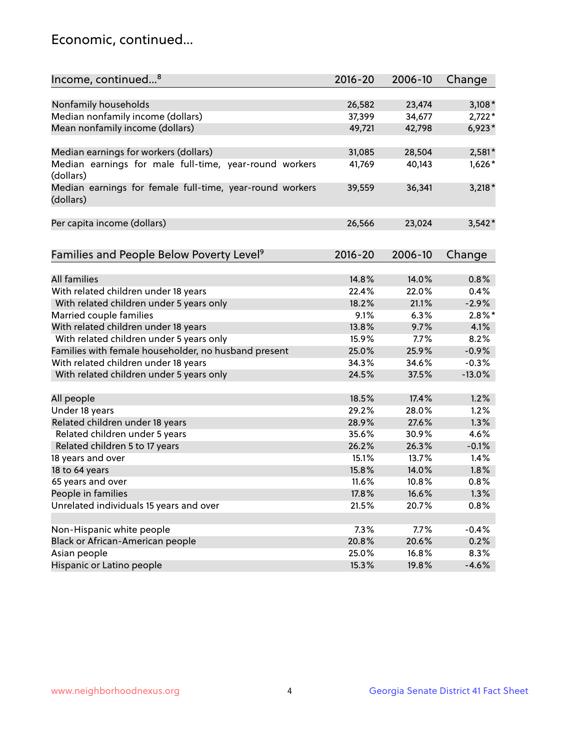## Economic, continued...

| Income, continued <sup>8</sup>                           | 2016-20 | 2006-10 | Change    |
|----------------------------------------------------------|---------|---------|-----------|
|                                                          |         |         |           |
| Nonfamily households                                     | 26,582  | 23,474  | $3,108*$  |
| Median nonfamily income (dollars)                        | 37,399  | 34,677  | $2,722*$  |
| Mean nonfamily income (dollars)                          | 49,721  | 42,798  | $6,923*$  |
|                                                          |         |         |           |
| Median earnings for workers (dollars)                    | 31,085  | 28,504  | $2,581*$  |
| Median earnings for male full-time, year-round workers   | 41,769  | 40,143  | $1,626*$  |
| (dollars)                                                |         |         |           |
| Median earnings for female full-time, year-round workers | 39,559  | 36,341  | $3,218*$  |
| (dollars)                                                |         |         |           |
|                                                          |         |         |           |
| Per capita income (dollars)                              | 26,566  | 23,024  | $3,542*$  |
|                                                          |         |         |           |
| Families and People Below Poverty Level <sup>9</sup>     | 2016-20 | 2006-10 | Change    |
|                                                          |         |         |           |
| <b>All families</b>                                      | 14.8%   | 14.0%   | 0.8%      |
| With related children under 18 years                     | 22.4%   | 22.0%   | 0.4%      |
| With related children under 5 years only                 | 18.2%   | 21.1%   | $-2.9%$   |
| Married couple families                                  | 9.1%    | 6.3%    | $2.8\%$ * |
| With related children under 18 years                     | 13.8%   | 9.7%    | 4.1%      |
| With related children under 5 years only                 | 15.9%   | 7.7%    | 8.2%      |
| Families with female householder, no husband present     | 25.0%   | 25.9%   | $-0.9%$   |
| With related children under 18 years                     | 34.3%   | 34.6%   | $-0.3%$   |
| With related children under 5 years only                 | 24.5%   | 37.5%   | $-13.0%$  |
|                                                          |         |         |           |
| All people                                               | 18.5%   | 17.4%   | 1.2%      |
| Under 18 years                                           | 29.2%   | 28.0%   | 1.2%      |
| Related children under 18 years                          | 28.9%   | 27.6%   | 1.3%      |
| Related children under 5 years                           | 35.6%   | 30.9%   | 4.6%      |
| Related children 5 to 17 years                           | 26.2%   | 26.3%   | $-0.1%$   |
| 18 years and over                                        | 15.1%   | 13.7%   | 1.4%      |
| 18 to 64 years                                           | 15.8%   | 14.0%   | 1.8%      |
| 65 years and over                                        | 11.6%   | 10.8%   | 0.8%      |
| People in families                                       | 17.8%   | 16.6%   | 1.3%      |
| Unrelated individuals 15 years and over                  | 21.5%   | 20.7%   | 0.8%      |
|                                                          |         |         |           |
| Non-Hispanic white people                                | 7.3%    | 7.7%    | $-0.4%$   |
| Black or African-American people                         | 20.8%   | 20.6%   | 0.2%      |
| Asian people                                             | 25.0%   | 16.8%   | 8.3%      |
| Hispanic or Latino people                                | 15.3%   | 19.8%   | $-4.6%$   |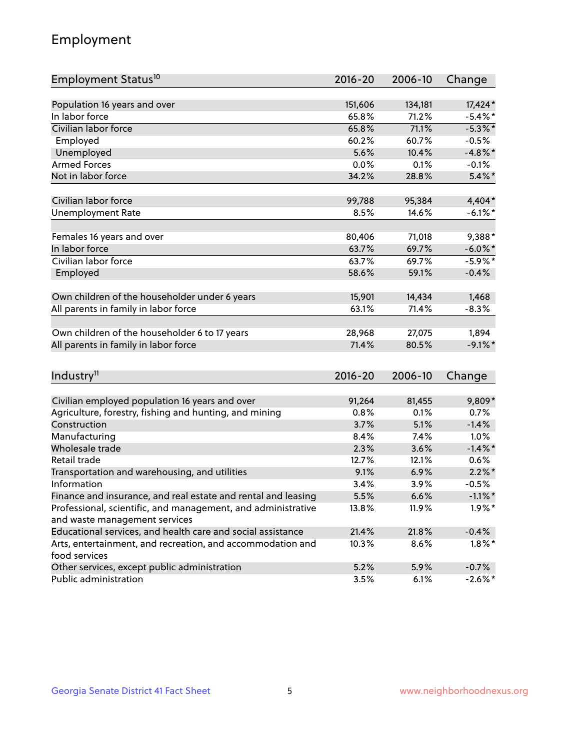## Employment

| Employment Status <sup>10</sup>                                                               | $2016 - 20$ | 2006-10      | Change             |
|-----------------------------------------------------------------------------------------------|-------------|--------------|--------------------|
|                                                                                               |             |              |                    |
| Population 16 years and over                                                                  | 151,606     | 134,181      | 17,424*            |
| In labor force                                                                                | 65.8%       | 71.2%        | $-5.4\%$ *         |
| Civilian labor force                                                                          | 65.8%       | 71.1%        | $-5.3\%$ *         |
| Employed                                                                                      | 60.2%       | 60.7%        | $-0.5%$            |
| Unemployed                                                                                    | 5.6%        | 10.4%        | $-4.8\%$ *         |
| <b>Armed Forces</b>                                                                           | 0.0%        | 0.1%         | $-0.1%$            |
| Not in labor force                                                                            | 34.2%       | 28.8%        | $5.4\%$ *          |
| Civilian labor force                                                                          | 99,788      | 95,384       | 4,404*             |
| <b>Unemployment Rate</b>                                                                      | 8.5%        | 14.6%        | $-6.1\%$ *         |
|                                                                                               | 80,406      | 71,018       | 9,388*             |
| Females 16 years and over<br>In labor force                                                   | 63.7%       | 69.7%        | $-6.0\%$ *         |
| Civilian labor force                                                                          |             | 69.7%        |                    |
|                                                                                               | 63.7%       |              | $-5.9\%$ *         |
| Employed                                                                                      | 58.6%       | 59.1%        | $-0.4%$            |
| Own children of the householder under 6 years                                                 | 15,901      | 14,434       | 1,468              |
| All parents in family in labor force                                                          | 63.1%       | 71.4%        | $-8.3%$            |
|                                                                                               |             |              |                    |
| Own children of the householder 6 to 17 years                                                 | 28,968      | 27,075       | 1,894              |
| All parents in family in labor force                                                          | 71.4%       | 80.5%        | $-9.1\%$ *         |
|                                                                                               |             |              |                    |
| Industry <sup>11</sup>                                                                        | $2016 - 20$ | 2006-10      | Change             |
| Civilian employed population 16 years and over                                                | 91,264      | 81,455       | 9,809*             |
|                                                                                               | 0.8%        | 0.1%         |                    |
| Agriculture, forestry, fishing and hunting, and mining                                        | 3.7%        |              | 0.7%               |
| Construction                                                                                  | 8.4%        | 5.1%         | $-1.4%$            |
| Manufacturing<br>Wholesale trade                                                              |             | 7.4%<br>3.6% | 1.0%<br>$-1.4\%$ * |
| Retail trade                                                                                  | 2.3%        |              |                    |
|                                                                                               | 12.7%       | 12.1%        | 0.6%               |
| Transportation and warehousing, and utilities                                                 | 9.1%        | 6.9%         | $2.2\%$ *          |
| Information                                                                                   | 3.4%        | 3.9%         | $-0.5%$            |
| Finance and insurance, and real estate and rental and leasing                                 | 5.5%        | 6.6%         | $-1.1\%$ *         |
| Professional, scientific, and management, and administrative<br>and waste management services | 13.8%       | 11.9%        | $1.9\%$ *          |
| Educational services, and health care and social assistance                                   | 21.4%       | 21.8%        | $-0.4%$            |
| Arts, entertainment, and recreation, and accommodation and                                    | 10.3%       | 8.6%         | $1.8\%$ *          |
| food services                                                                                 |             |              |                    |
| Other services, except public administration                                                  | 5.2%        | 5.9%         | $-0.7%$            |
| Public administration                                                                         | 3.5%        | 6.1%         | $-2.6\%$ *         |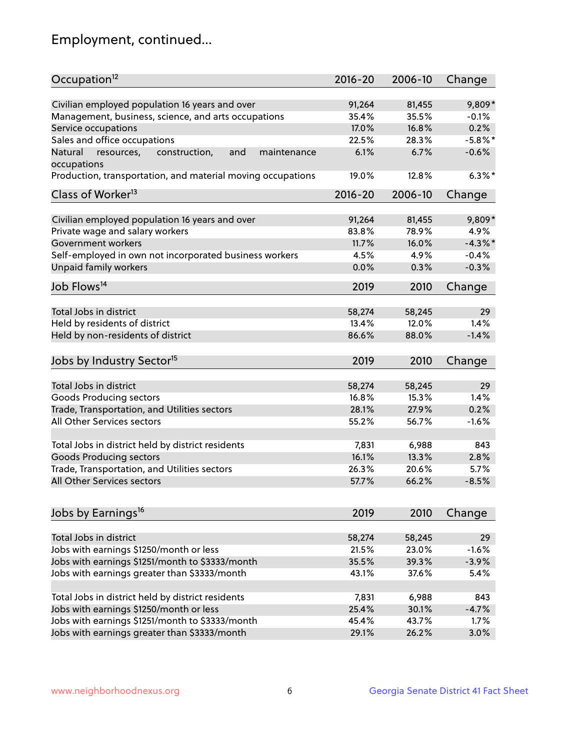## Employment, continued...

| Occupation <sup>12</sup>                                     | $2016 - 20$ | 2006-10 | Change     |
|--------------------------------------------------------------|-------------|---------|------------|
| Civilian employed population 16 years and over               | 91,264      | 81,455  | 9,809*     |
| Management, business, science, and arts occupations          | 35.4%       | 35.5%   | $-0.1%$    |
| Service occupations                                          | 17.0%       | 16.8%   | 0.2%       |
| Sales and office occupations                                 | 22.5%       | 28.3%   | $-5.8\%$ * |
| Natural<br>and<br>resources,<br>construction,<br>maintenance | 6.1%        | 6.7%    | $-0.6%$    |
| occupations                                                  |             |         |            |
| Production, transportation, and material moving occupations  | 19.0%       | 12.8%   | $6.3\%$ *  |
| Class of Worker <sup>13</sup>                                | $2016 - 20$ | 2006-10 | Change     |
| Civilian employed population 16 years and over               | 91,264      | 81,455  | 9,809*     |
| Private wage and salary workers                              | 83.8%       | 78.9%   | 4.9%       |
| Government workers                                           | 11.7%       | 16.0%   | $-4.3\%$ * |
| Self-employed in own not incorporated business workers       | 4.5%        | 4.9%    | $-0.4%$    |
| Unpaid family workers                                        | 0.0%        | 0.3%    | $-0.3%$    |
|                                                              |             |         |            |
| Job Flows <sup>14</sup>                                      | 2019        | 2010    | Change     |
| Total Jobs in district                                       | 58,274      | 58,245  | 29         |
| Held by residents of district                                | 13.4%       | 12.0%   | 1.4%       |
| Held by non-residents of district                            | 86.6%       | 88.0%   | $-1.4%$    |
|                                                              |             |         |            |
| Jobs by Industry Sector <sup>15</sup>                        | 2019        | 2010    | Change     |
| Total Jobs in district                                       | 58,274      | 58,245  | 29         |
| Goods Producing sectors                                      | 16.8%       | 15.3%   | 1.4%       |
| Trade, Transportation, and Utilities sectors                 | 28.1%       | 27.9%   | 0.2%       |
| All Other Services sectors                                   | 55.2%       | 56.7%   | $-1.6%$    |
|                                                              |             |         |            |
| Total Jobs in district held by district residents            | 7,831       | 6,988   | 843        |
| <b>Goods Producing sectors</b>                               | 16.1%       | 13.3%   | 2.8%       |
| Trade, Transportation, and Utilities sectors                 | 26.3%       | 20.6%   | 5.7%       |
| All Other Services sectors                                   | 57.7%       | 66.2%   | $-8.5%$    |
|                                                              |             |         |            |
| Jobs by Earnings <sup>16</sup>                               | 2019        | 2010    | Change     |
| Total Jobs in district                                       | 58,274      | 58,245  | 29         |
| Jobs with earnings \$1250/month or less                      | 21.5%       | 23.0%   | $-1.6%$    |
| Jobs with earnings \$1251/month to \$3333/month              | 35.5%       | 39.3%   | $-3.9%$    |
| Jobs with earnings greater than \$3333/month                 | 43.1%       | 37.6%   | 5.4%       |
|                                                              |             |         |            |
| Total Jobs in district held by district residents            | 7,831       | 6,988   | 843        |
| Jobs with earnings \$1250/month or less                      | 25.4%       | 30.1%   | $-4.7%$    |
| Jobs with earnings \$1251/month to \$3333/month              | 45.4%       | 43.7%   | 1.7%       |
| Jobs with earnings greater than \$3333/month                 | 29.1%       | 26.2%   | 3.0%       |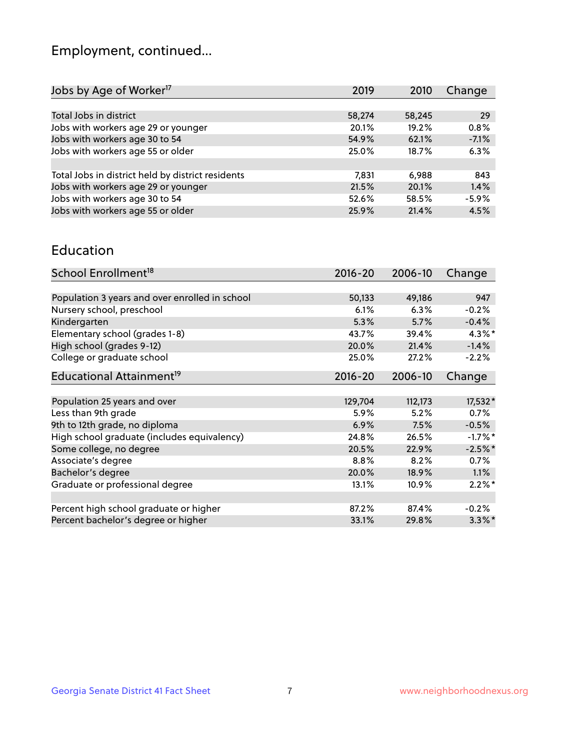## Employment, continued...

| 2019   | 2010   | Change  |
|--------|--------|---------|
|        |        |         |
| 58,274 | 58,245 | 29      |
| 20.1%  | 19.2%  | 0.8%    |
| 54.9%  | 62.1%  | $-7.1%$ |
| 25.0%  | 18.7%  | 6.3%    |
|        |        |         |
| 7,831  | 6.988  | 843     |
| 21.5%  | 20.1%  | 1.4%    |
| 52.6%  | 58.5%  | $-5.9%$ |
| 25.9%  | 21.4%  | 4.5%    |
|        |        |         |

#### Education

| School Enrollment <sup>18</sup>                | $2016 - 20$ | 2006-10  | Change    |
|------------------------------------------------|-------------|----------|-----------|
|                                                |             |          |           |
| Population 3 years and over enrolled in school | 50,133      | 49,186   | 947       |
| Nursery school, preschool                      | 6.1%        | 6.3%     | $-0.2%$   |
| Kindergarten                                   | 5.3%        | 5.7%     | $-0.4%$   |
| Elementary school (grades 1-8)                 | 43.7%       | 39.4%    | 4.3%*     |
| High school (grades 9-12)                      | 20.0%       | 21.4%    | $-1.4%$   |
| College or graduate school                     | 25.0%       | 27.2%    | $-2.2%$   |
| Educational Attainment <sup>19</sup>           | $2016 - 20$ | 2006-10  | Change    |
|                                                |             |          |           |
| Population 25 years and over                   | 129,704     | 112,173  | $17,532*$ |
| Less than 9th grade                            | 5.9%        | 5.2%     | 0.7%      |
| 9th to 12th grade, no diploma                  | 6.9%        | 7.5%     | $-0.5%$   |
| High school graduate (includes equivalency)    | 24.8%       | 26.5%    | $-1.7%$ * |
| Some college, no degree                        | 20.5%       | 22.9%    | $-2.5%$ * |
| Associate's degree                             | 8.8%        | 8.2%     | 0.7%      |
| Bachelor's degree                              | 20.0%       | 18.9%    | $1.1\%$   |
| Graduate or professional degree                | 13.1%       | $10.9\%$ | $2.2\%$ * |
|                                                |             |          |           |
| Percent high school graduate or higher         | 87.2%       | 87.4%    | $-0.2%$   |
| Percent bachelor's degree or higher            | 33.1%       | 29.8%    | $3.3\%$ * |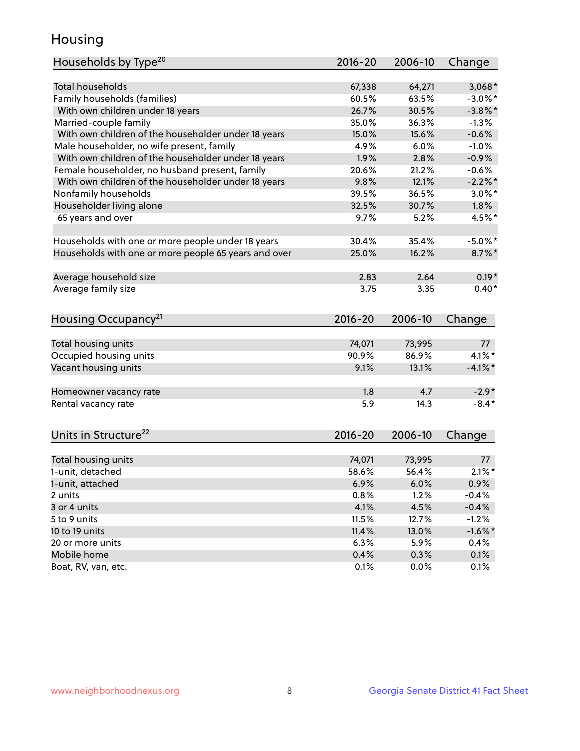## Housing

| Households by Type <sup>20</sup>                     | 2016-20     | 2006-10 | Change     |
|------------------------------------------------------|-------------|---------|------------|
|                                                      |             |         |            |
| <b>Total households</b>                              | 67,338      | 64,271  | $3,068*$   |
| Family households (families)                         | 60.5%       | 63.5%   | $-3.0\%$ * |
| With own children under 18 years                     | 26.7%       | 30.5%   | $-3.8\%$ * |
| Married-couple family                                | 35.0%       | 36.3%   | $-1.3%$    |
| With own children of the householder under 18 years  | 15.0%       | 15.6%   | $-0.6%$    |
| Male householder, no wife present, family            | 4.9%        | 6.0%    | $-1.0%$    |
| With own children of the householder under 18 years  | 1.9%        | 2.8%    | $-0.9%$    |
| Female householder, no husband present, family       | 20.6%       | 21.2%   | $-0.6%$    |
| With own children of the householder under 18 years  | 9.8%        | 12.1%   | $-2.2\%$ * |
| Nonfamily households                                 | 39.5%       | 36.5%   | $3.0\%$ *  |
| Householder living alone                             | 32.5%       | 30.7%   | 1.8%       |
| 65 years and over                                    | 9.7%        | 5.2%    | 4.5%*      |
| Households with one or more people under 18 years    | 30.4%       | 35.4%   | $-5.0\%$ * |
| Households with one or more people 65 years and over | 25.0%       | 16.2%   | $8.7\%$ *  |
| Average household size                               | 2.83        | 2.64    | $0.19*$    |
|                                                      | 3.75        | 3.35    | $0.40*$    |
| Average family size                                  |             |         |            |
| Housing Occupancy <sup>21</sup>                      | $2016 - 20$ | 2006-10 | Change     |
| Total housing units                                  | 74,071      | 73,995  | 77         |
| Occupied housing units                               | 90.9%       | 86.9%   | 4.1%*      |
| Vacant housing units                                 | 9.1%        | 13.1%   | $-4.1\%$ * |
|                                                      |             |         |            |
| Homeowner vacancy rate                               | 1.8         | 4.7     | $-2.9*$    |
| Rental vacancy rate                                  | 5.9         | 14.3    | $-8.4*$    |
| Units in Structure <sup>22</sup>                     | $2016 - 20$ | 2006-10 | Change     |
| Total housing units                                  | 74,071      | 73,995  | 77         |
| 1-unit, detached                                     | 58.6%       | 56.4%   | $2.1\%$ *  |
| 1-unit, attached                                     | 6.9%        | 6.0%    | 0.9%       |
| 2 units                                              | 0.8%        | 1.2%    | $-0.4%$    |
| 3 or 4 units                                         | 4.1%        | 4.5%    | $-0.4%$    |
| 5 to 9 units                                         | 11.5%       | 12.7%   | $-1.2%$    |
|                                                      |             |         |            |
| 10 to 19 units                                       | 11.4%       | 13.0%   | $-1.6\%$ * |
| 20 or more units                                     | 6.3%        | 5.9%    | $0.4\%$    |
| Mobile home                                          | 0.4%        | 0.3%    | 0.1%       |
| Boat, RV, van, etc.                                  | 0.1%        | 0.0%    | 0.1%       |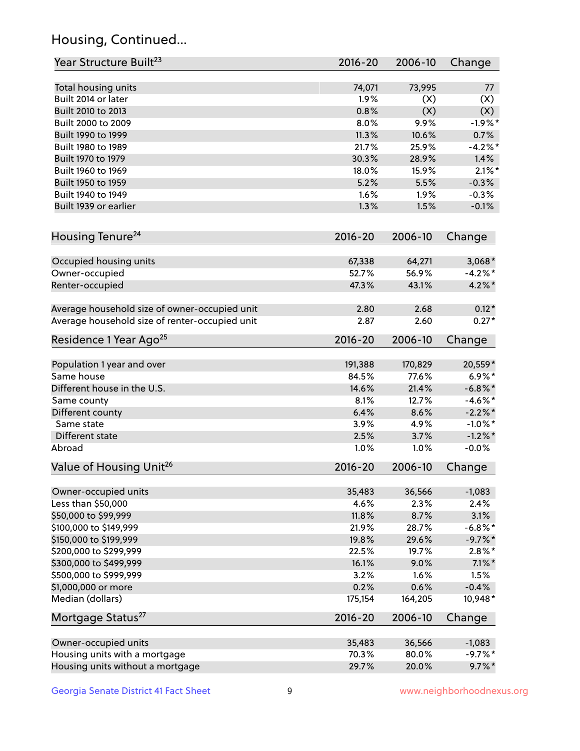## Housing, Continued...

| Year Structure Built <sup>23</sup>             | 2016-20     | 2006-10 | Change     |
|------------------------------------------------|-------------|---------|------------|
| Total housing units                            | 74,071      | 73,995  | 77         |
| Built 2014 or later                            | 1.9%        | (X)     | (X)        |
| Built 2010 to 2013                             | 0.8%        | (X)     | (X)        |
| Built 2000 to 2009                             | 8.0%        | 9.9%    | $-1.9%$ *  |
| Built 1990 to 1999                             | 11.3%       | 10.6%   | 0.7%       |
| Built 1980 to 1989                             | 21.7%       | 25.9%   | $-4.2\%$ * |
| Built 1970 to 1979                             | 30.3%       | 28.9%   | 1.4%       |
| Built 1960 to 1969                             | 18.0%       | 15.9%   | $2.1\%$ *  |
| Built 1950 to 1959                             | 5.2%        | 5.5%    | $-0.3%$    |
| Built 1940 to 1949                             | 1.6%        | 1.9%    | $-0.3%$    |
| Built 1939 or earlier                          | 1.3%        | 1.5%    | $-0.1%$    |
| Housing Tenure <sup>24</sup>                   | $2016 - 20$ | 2006-10 | Change     |
| Occupied housing units                         | 67,338      | 64,271  | $3,068*$   |
| Owner-occupied                                 | 52.7%       | 56.9%   | $-4.2%$ *  |
| Renter-occupied                                | 47.3%       | 43.1%   | $4.2\%$ *  |
| Average household size of owner-occupied unit  | 2.80        | 2.68    | $0.12*$    |
| Average household size of renter-occupied unit | 2.87        | 2.60    | $0.27*$    |
| Residence 1 Year Ago <sup>25</sup>             | $2016 - 20$ | 2006-10 | Change     |
| Population 1 year and over                     | 191,388     | 170,829 | 20,559*    |
| Same house                                     | 84.5%       | 77.6%   | $6.9\%*$   |
| Different house in the U.S.                    | 14.6%       | 21.4%   | $-6.8\%$ * |
| Same county                                    | 8.1%        | 12.7%   | $-4.6\%$ * |
| Different county                               | 6.4%        | 8.6%    | $-2.2\%$ * |
| Same state                                     | 3.9%        | 4.9%    | $-1.0\%$ * |
| Different state                                | 2.5%        | 3.7%    | $-1.2\%$ * |
| Abroad                                         | 1.0%        | 1.0%    | $-0.0%$    |
| Value of Housing Unit <sup>26</sup>            | $2016 - 20$ | 2006-10 | Change     |
| Owner-occupied units                           | 35,483      | 36,566  | $-1,083$   |
| Less than \$50,000                             | 4.6%        | 2.3%    | 2.4%       |
| \$50,000 to \$99,999                           | 11.8%       | 8.7%    | 3.1%       |
| \$100,000 to \$149,999                         | 21.9%       | 28.7%   | $-6.8\%$ * |
| \$150,000 to \$199,999                         | 19.8%       | 29.6%   | $-9.7\%$ * |
| \$200,000 to \$299,999                         | 22.5%       | 19.7%   | $2.8\%$ *  |
| \$300,000 to \$499,999                         | 16.1%       | 9.0%    | $7.1\%$ *  |
| \$500,000 to \$999,999                         | 3.2%        | 1.6%    | 1.5%       |
| \$1,000,000 or more                            | 0.2%        | 0.6%    | $-0.4%$    |
| Median (dollars)                               | 175,154     | 164,205 | 10,948*    |
| Mortgage Status <sup>27</sup>                  | $2016 - 20$ | 2006-10 | Change     |
| Owner-occupied units                           | 35,483      | 36,566  | $-1,083$   |
| Housing units with a mortgage                  | 70.3%       | 80.0%   | $-9.7%$ *  |
| Housing units without a mortgage               | 29.7%       | 20.0%   | $9.7\%$ *  |
|                                                |             |         |            |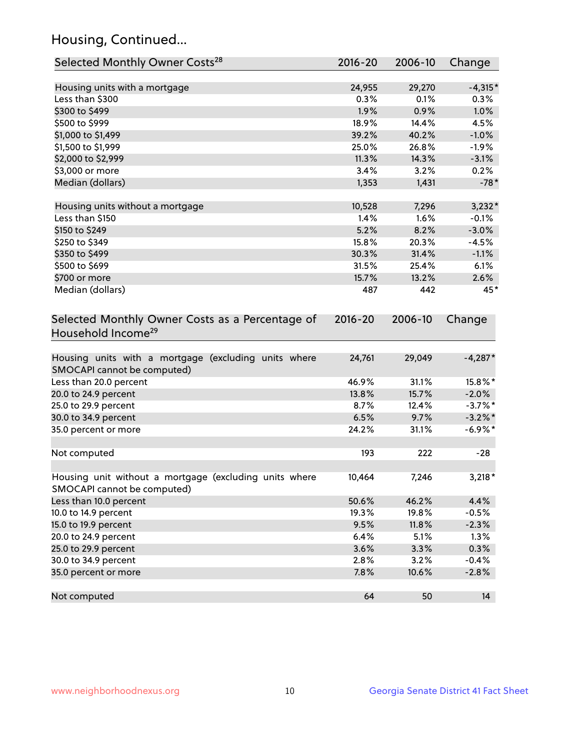## Housing, Continued...

| Selected Monthly Owner Costs <sup>28</sup>                                            | 2016-20 | 2006-10 | Change     |
|---------------------------------------------------------------------------------------|---------|---------|------------|
| Housing units with a mortgage                                                         | 24,955  | 29,270  | $-4,315*$  |
| Less than \$300                                                                       | 0.3%    | 0.1%    | 0.3%       |
| \$300 to \$499                                                                        | 1.9%    | 0.9%    | 1.0%       |
| \$500 to \$999                                                                        | 18.9%   | 14.4%   | 4.5%       |
| \$1,000 to \$1,499                                                                    | 39.2%   | 40.2%   | $-1.0%$    |
| \$1,500 to \$1,999                                                                    | 25.0%   | 26.8%   | $-1.9%$    |
| \$2,000 to \$2,999                                                                    | 11.3%   | 14.3%   | $-3.1%$    |
| \$3,000 or more                                                                       | 3.4%    | 3.2%    | 0.2%       |
| Median (dollars)                                                                      | 1,353   | 1,431   | $-78*$     |
| Housing units without a mortgage                                                      | 10,528  | 7,296   | $3,232*$   |
| Less than \$150                                                                       | 1.4%    | 1.6%    | $-0.1%$    |
| \$150 to \$249                                                                        | 5.2%    | 8.2%    | $-3.0%$    |
| \$250 to \$349                                                                        | 15.8%   | 20.3%   | $-4.5%$    |
| \$350 to \$499                                                                        | 30.3%   | 31.4%   | $-1.1%$    |
| \$500 to \$699                                                                        | 31.5%   | 25.4%   | 6.1%       |
| \$700 or more                                                                         | 15.7%   | 13.2%   | 2.6%       |
| Median (dollars)                                                                      | 487     | 442     | 45*        |
| Household Income <sup>29</sup>                                                        |         |         |            |
| Housing units with a mortgage (excluding units where<br>SMOCAPI cannot be computed)   | 24,761  | 29,049  | $-4,287*$  |
| Less than 20.0 percent                                                                | 46.9%   | 31.1%   | 15.8%*     |
| 20.0 to 24.9 percent                                                                  | 13.8%   | 15.7%   | $-2.0%$    |
| 25.0 to 29.9 percent                                                                  | 8.7%    | 12.4%   | $-3.7\%$ * |
| 30.0 to 34.9 percent                                                                  | 6.5%    | 9.7%    | $-3.2\%$ * |
| 35.0 percent or more                                                                  | 24.2%   | 31.1%   | $-6.9\%$ * |
| Not computed                                                                          | 193     | 222     | $-28$      |
| Housing unit without a mortgage (excluding units where<br>SMOCAPI cannot be computed) | 10,464  | 7,246   | $3,218*$   |
| Less than 10.0 percent                                                                | 50.6%   | 46.2%   | 4.4%       |
| 10.0 to 14.9 percent                                                                  | 19.3%   | 19.8%   | $-0.5%$    |
| 15.0 to 19.9 percent                                                                  | 9.5%    | 11.8%   | $-2.3%$    |
| 20.0 to 24.9 percent                                                                  | 6.4%    | 5.1%    | 1.3%       |
| 25.0 to 29.9 percent                                                                  | 3.6%    | 3.3%    | 0.3%       |
| 30.0 to 34.9 percent                                                                  | 2.8%    | 3.2%    | $-0.4%$    |
| 35.0 percent or more                                                                  | 7.8%    | 10.6%   | $-2.8%$    |
| Not computed                                                                          | 64      | 50      | 14         |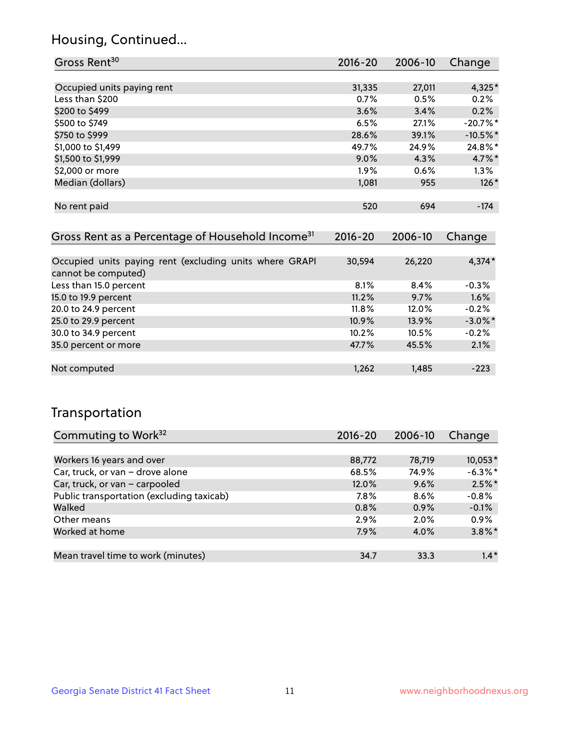### Housing, Continued...

| Gross Rent <sup>30</sup>                                     | 2016-20 | 2006-10 | Change     |
|--------------------------------------------------------------|---------|---------|------------|
|                                                              |         |         |            |
| Occupied units paying rent                                   | 31,335  | 27,011  | 4,325*     |
| Less than \$200                                              | 0.7%    | 0.5%    | 0.2%       |
| \$200 to \$499                                               | 3.6%    | 3.4%    | 0.2%       |
| \$500 to \$749                                               | 6.5%    | 27.1%   | $-20.7%$ * |
| \$750 to \$999                                               | 28.6%   | 39.1%   | $-10.5%$ * |
| \$1,000 to \$1,499                                           | 49.7%   | 24.9%   | $24.8\%$ * |
| \$1,500 to \$1,999                                           | $9.0\%$ | 4.3%    | $4.7\%$ *  |
| \$2,000 or more                                              | $1.9\%$ | 0.6%    | $1.3\%$    |
| Median (dollars)                                             | 1,081   | 955     | $126*$     |
|                                                              |         |         |            |
| No rent paid                                                 | 520     | 694     | $-174$     |
|                                                              |         |         |            |
| Gross Rent as a Percentage of Household Income <sup>31</sup> | 2016-20 | 2006-10 | Change     |

|                                                                                |          |        | $\tilde{\phantom{a}}$ |
|--------------------------------------------------------------------------------|----------|--------|-----------------------|
|                                                                                |          |        |                       |
| Occupied units paying rent (excluding units where GRAPI<br>cannot be computed) | 30,594   | 26,220 | $4,374*$              |
| Less than 15.0 percent                                                         | 8.1%     | 8.4%   | $-0.3%$               |
| 15.0 to 19.9 percent                                                           | 11.2%    | 9.7%   | 1.6%                  |
| 20.0 to 24.9 percent                                                           | $11.8\%$ | 12.0%  | $-0.2%$               |
| 25.0 to 29.9 percent                                                           | 10.9%    | 13.9%  | $-3.0\%$ *            |
| 30.0 to 34.9 percent                                                           | 10.2%    | 10.5%  | $-0.2%$               |
| 35.0 percent or more                                                           | 47.7%    | 45.5%  | 2.1%                  |
|                                                                                |          |        |                       |
| Not computed                                                                   | 1,262    | 1,485  | $-223$                |
|                                                                                |          |        |                       |

### Transportation

| Commuting to Work <sup>32</sup>           | 2016-20 | 2006-10 | Change     |
|-------------------------------------------|---------|---------|------------|
|                                           |         |         |            |
| Workers 16 years and over                 | 88,772  | 78,719  | $10,053*$  |
| Car, truck, or van - drove alone          | 68.5%   | 74.9%   | $-6.3\%$ * |
| Car, truck, or van - carpooled            | 12.0%   | 9.6%    | $2.5\%$ *  |
| Public transportation (excluding taxicab) | 7.8%    | 8.6%    | $-0.8%$    |
| Walked                                    | 0.8%    | 0.9%    | $-0.1%$    |
| Other means                               | 2.9%    | 2.0%    | 0.9%       |
| Worked at home                            | 7.9%    | 4.0%    | $3.8\%$ *  |
|                                           |         |         |            |
| Mean travel time to work (minutes)        | 34.7    | 33.3    | $1.4*$     |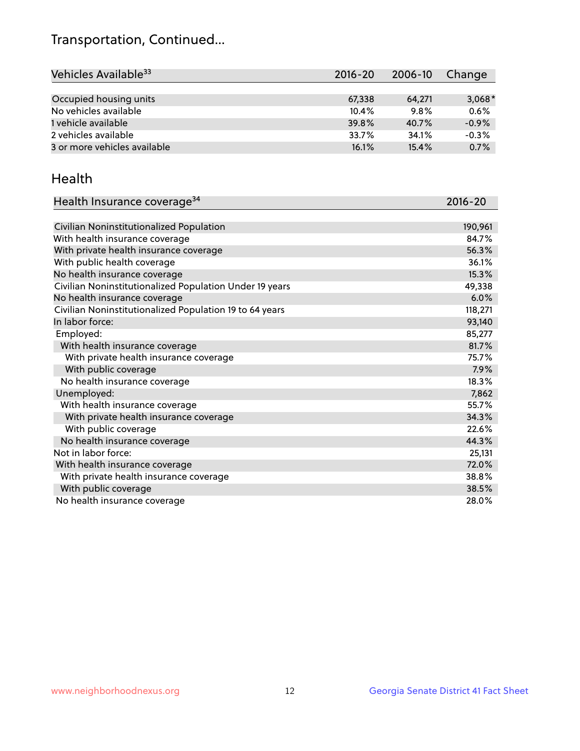## Transportation, Continued...

| Vehicles Available <sup>33</sup> | $2016 - 20$ | 2006-10 | Change   |
|----------------------------------|-------------|---------|----------|
|                                  |             |         |          |
| Occupied housing units           | 67,338      | 64.271  | $3,068*$ |
| No vehicles available            | 10.4%       | 9.8%    | 0.6%     |
| 1 vehicle available              | 39.8%       | 40.7%   | $-0.9%$  |
| 2 vehicles available             | 33.7%       | 34.1%   | $-0.3%$  |
| 3 or more vehicles available     | 16.1%       | 15.4%   | 0.7%     |

#### Health

| Health Insurance coverage <sup>34</sup>                 | 2016-20 |
|---------------------------------------------------------|---------|
|                                                         |         |
| Civilian Noninstitutionalized Population                | 190,961 |
| With health insurance coverage                          | 84.7%   |
| With private health insurance coverage                  | 56.3%   |
| With public health coverage                             | 36.1%   |
| No health insurance coverage                            | 15.3%   |
| Civilian Noninstitutionalized Population Under 19 years | 49,338  |
| No health insurance coverage                            | 6.0%    |
| Civilian Noninstitutionalized Population 19 to 64 years | 118,271 |
| In labor force:                                         | 93,140  |
| Employed:                                               | 85,277  |
| With health insurance coverage                          | 81.7%   |
| With private health insurance coverage                  | 75.7%   |
| With public coverage                                    | 7.9%    |
| No health insurance coverage                            | 18.3%   |
| Unemployed:                                             | 7,862   |
| With health insurance coverage                          | 55.7%   |
| With private health insurance coverage                  | 34.3%   |
| With public coverage                                    | 22.6%   |
| No health insurance coverage                            | 44.3%   |
| Not in labor force:                                     | 25,131  |
| With health insurance coverage                          | 72.0%   |
| With private health insurance coverage                  | 38.8%   |
| With public coverage                                    | 38.5%   |
| No health insurance coverage                            | 28.0%   |